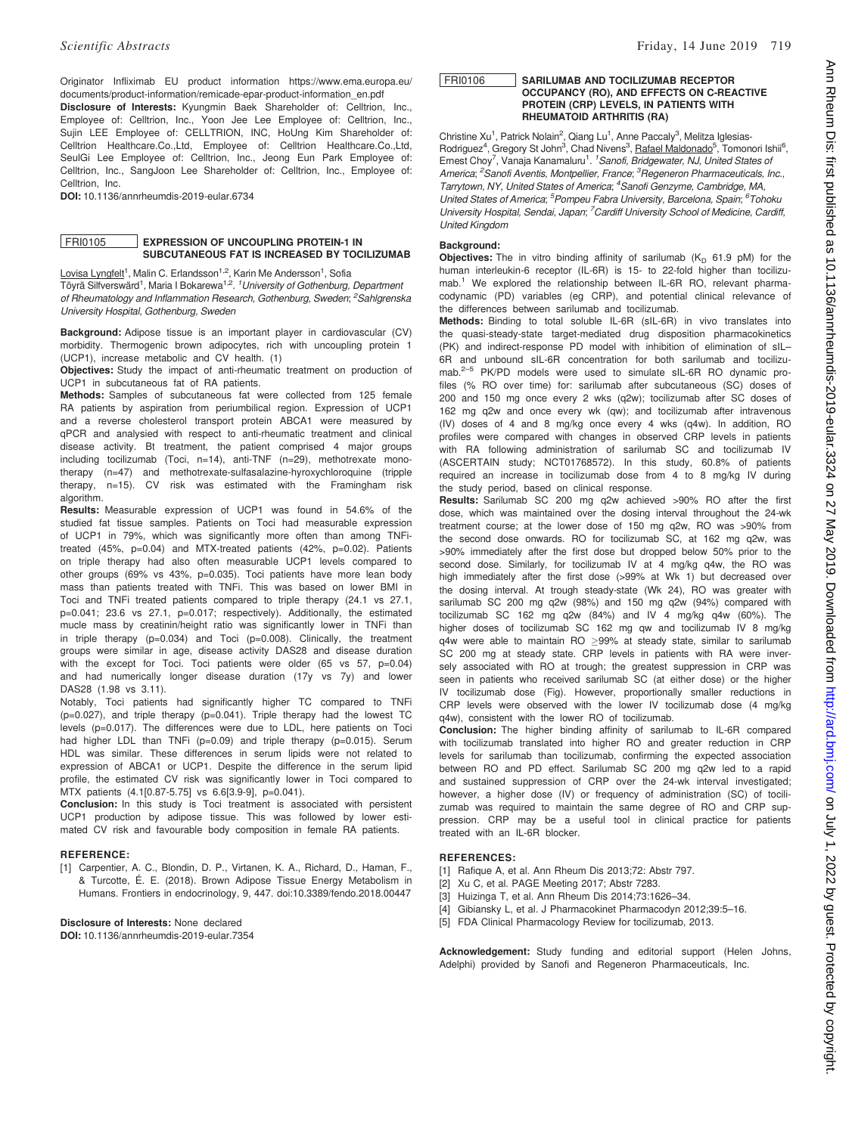Originator Infliximab EU product information https://www.ema.europa.eu/ documents/product-information/remicade-epar-product-information\_en.pdf

Disclosure of Interests: Kyungmin Baek Shareholder of: Celltrion, Inc., Employee of: Celltrion, Inc., Yoon Jee Lee Employee of: Celltrion, Inc., Sujin LEE Employee of: CELLTRION, INC, HoUng Kim Shareholder of: Celltrion Healthcare.Co.,Ltd, Employee of: Celltrion Healthcare.Co.,Ltd, SeulGi Lee Employee of: Celltrion, Inc., Jeong Eun Park Employee of: Celltrion, Inc., SangJoon Lee Shareholder of: Celltrion, Inc., Employee of: Celltrion, Inc.

DOI: 10.1136/annrheumdis-2019-eular.6734

### FRI0105 EXPRESSION OF UNCOUPLING PROTEIN-1 IN SUBCUTANEOUS FAT IS INCREASED BY TOCILIZUMAB

Lovisa Lyngfelt<sup>1</sup>, Malin C. Erlandsson<sup>1,2</sup>, Karin Me Andersson<sup>1</sup>, Sofia Töyrä Silfverswärd<sup>1</sup>, Maria I Bokarewa<sup>1,2</sup>. <sup>1</sup>University of Gothenburg, Department of Rheumatology and Inflammation Research, Gothenburg, Sweden; <sup>2</sup>Sahlgrenska University Hospital, Gothenburg, Sweden

Background: Adipose tissue is an important player in cardiovascular (CV) morbidity. Thermogenic brown adipocytes, rich with uncoupling protein 1 (UCP1), increase metabolic and CV health. (1)

Objectives: Study the impact of anti-rheumatic treatment on production of UCP1 in subcutaneous fat of RA patients.

Methods: Samples of subcutaneous fat were collected from 125 female RA patients by aspiration from periumbilical region. Expression of UCP1 and a reverse cholesterol transport protein ABCA1 were measured by qPCR and analysied with respect to anti-rheumatic treatment and clinical disease activity. Bt treatment, the patient comprised 4 major groups including tocilizumab (Toci, n=14), anti-TNF (n=29), methotrexate monotherapy (n=47) and methotrexate-sulfasalazine-hyroxychloroquine (tripple therapy, n=15). CV risk was estimated with the Framingham risk algorithm.

Results: Measurable expression of UCP1 was found in 54.6% of the studied fat tissue samples. Patients on Toci had measurable expression of UCP1 in 79%, which was significantly more often than among TNFitreated (45%, p=0.04) and MTX-treated patients (42%, p=0.02). Patients on triple therapy had also often measurable UCP1 levels compared to other groups (69% vs 43%, p=0.035). Toci patients have more lean body mass than patients treated with TNFi. This was based on lower BMI in Toci and TNFi treated patients compared to triple therapy (24.1 vs 27.1, p=0.041; 23.6 vs 27.1, p=0.017; respectively). Additionally, the estimated mucle mass by creatinin/height ratio was significantly lower in TNFi than in triple therapy (p=0.034) and Toci (p=0.008). Clinically, the treatment groups were similar in age, disease activity DAS28 and disease duration with the except for Toci. Toci patients were older (65 vs 57, p=0.04) and had numerically longer disease duration (17y vs 7y) and lower DAS28 (1.98 vs 3.11).

Notably, Toci patients had significantly higher TC compared to TNFi  $(p=0.027)$ , and triple therapy  $(p=0.041)$ . Triple therapy had the lowest TC levels (p=0.017). The differences were due to LDL, here patients on Toci had higher LDL than TNFi (p=0.09) and triple therapy (p=0.015). Serum HDL was similar. These differences in serum lipids were not related to expression of ABCA1 or UCP1. Despite the difference in the serum lipid profile, the estimated CV risk was significantly lower in Toci compared to MTX patients (4.1[0.87-5.75] vs 6.6[3.9-9], p=0.041).

Conclusion: In this study is Toci treatment is associated with persistent UCP1 production by adipose tissue. This was followed by lower estimated CV risk and favourable body composition in female RA patients.

## REFERENCE:

[1] Carpentier, A. C., Blondin, D. P., Virtanen, K. A., Richard, D., Haman, F., & Turcotte, É. E. (2018). Brown Adipose Tissue Energy Metabolism in Humans. Frontiers in endocrinology, 9, 447. doi:10.3389/fendo.2018.00447

# Disclosure of Interests: None declared

DOI: 10.1136/annrheumdis-2019-eular.7354

### FRI0106 SARILUMAB AND TOCILIZUMAB RECEPTOR OCCUPANCY (RO), AND EFFECTS ON C-REACTIVE PROTEIN (CRP) LEVELS, IN PATIENTS WITH RHEUMATOID ARTHRITIS (RA)

Christine Xu<sup>1</sup>, Patrick Nolain<sup>2</sup>, Qiang Lu<sup>1</sup>, Anne Paccaly<sup>3</sup>, Melitza Iglesias-Rodriguez<sup>4</sup>, Gregory St John<sup>3</sup>, Chad Nivens<sup>3</sup>, Rafael Maldonado<sup>5</sup>, Tomonori Ishii<sup>6</sup>, Ernest Choy<sup>7</sup>, Vanaja Kanamaluru<sup>1</sup>. <sup>1</sup> Sanofi, Bridgewater, NJ, United States of America; <sup>2</sup> Sanofi Aventis, Montpellier, France; <sup>3</sup> Regeneron Pharmaceuticals, Inc., Tarrytown, NY, United States of America; <sup>4</sup>Sanofi Genzyme, Cambridge, MA, United States of America; <sup>5</sup> Pompeu Fabra University, Barcelona, Spain; <sup>6</sup> Tohoku University Hospital, Sendai, Japan; <sup>7</sup>Cardiff University School of Medicine, Cardiff, United Kingdom

#### Background:

**Objectives:** The in vitro binding affinity of sarilumab  $(K_D 61.9 \text{ pM})$  for the human interleukin-6 receptor (IL-6R) is 15- to 22-fold higher than tocilizumab.<sup>1</sup> We explored the relationship between IL-6R RO, relevant pharmacodynamic (PD) variables (eg CRP), and potential clinical relevance of the differences between sarilumab and tocilizumab.

Methods: Binding to total soluble IL-6R (sIL-6R) in vivo translates into the quasi-steady-state target-mediated drug disposition pharmacokinetics (PK) and indirect-response PD model with inhibition of elimination of sIL– 6R and unbound sIL-6R concentration for both sarilumab and tocilizumab.<sup>2–5</sup> PK/PD models were used to simulate sIL-6R RO dynamic profiles (% RO over time) for: sarilumab after subcutaneous (SC) doses of 200 and 150 mg once every 2 wks (q2w); tocilizumab after SC doses of 162 mg q2w and once every wk (qw); and tocilizumab after intravenous (IV) doses of 4 and 8 mg/kg once every 4 wks (q4w). In addition, RO profiles were compared with changes in observed CRP levels in patients with RA following administration of sarilumab SC and tocilizumab IV (ASCERTAIN study; NCT01768572). In this study, 60.8% of patients required an increase in tocilizumab dose from 4 to 8 mg/kg IV during the study period, based on clinical response.

Results: Sarilumab SC 200 mg q2w achieved >90% RO after the first dose, which was maintained over the dosing interval throughout the 24-wk treatment course; at the lower dose of 150 mg q2w, RO was >90% from the second dose onwards. RO for tocilizumab SC, at 162 mg q2w, was >90% immediately after the first dose but dropped below 50% prior to the second dose. Similarly, for tocilizumab IV at 4 mg/kg q4w, the RO was high immediately after the first dose (>99% at Wk 1) but decreased over the dosing interval. At trough steady-state (Wk 24), RO was greater with sarilumab SC 200 mg q2w (98%) and 150 mg q2w (94%) compared with tocilizumab SC 162 mg q2w (84%) and IV 4 mg/kg q4w (60%). The higher doses of tocilizumab SC 162 mg qw and tocilizumab IV 8 mg/kg  $q4w$  were able to maintain RO  $\geq$ 99% at steady state, similar to sarilumab SC 200 mg at steady state. CRP levels in patients with RA were inversely associated with RO at trough; the greatest suppression in CRP was seen in patients who received sarilumab SC (at either dose) or the higher IV tocilizumab dose (Fig). However, proportionally smaller reductions in CRP levels were observed with the lower IV tocilizumab dose (4 mg/kg q4w), consistent with the lower RO of tocilizumab.

Conclusion: The higher binding affinity of sarilumab to IL-6R compared with tocilizumab translated into higher RO and greater reduction in CRP levels for sarilumab than tocilizumab, confirming the expected association between RO and PD effect. Sarilumab SC 200 mg q2w led to a rapid and sustained suppression of CRP over the 24-wk interval investigated; however, a higher dose (IV) or frequency of administration (SC) of tocilizumab was required to maintain the same degree of RO and CRP suppression. CRP may be a useful tool in clinical practice for patients treated with an IL-6R blocker.

#### REFERENCES:

- [1] Rafique A, et al. Ann Rheum Dis 2013;72: Abstr 797.
- [2] Xu C, et al. PAGE Meeting 2017; Abstr 7283.
- [3] Huizinga T, et al. Ann Rheum Dis 2014;73:1626–34.
- [4] Gibiansky L, et al. J Pharmacokinet Pharmacodyn 2012;39:5–16.
- [5] FDA Clinical Pharmacology Review for tocilizumab, 2013.

Acknowledgement: Study funding and editorial support (Helen Johns, Adelphi) provided by Sanofi and Regeneron Pharmaceuticals, Inc.